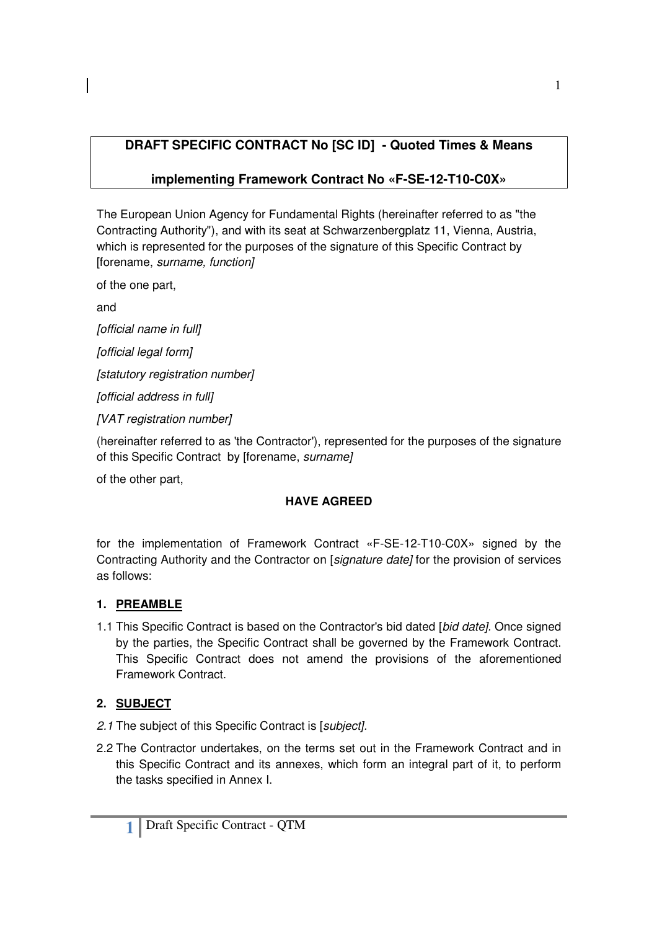# **DRAFT SPECIFIC CONTRACT No [SC ID] - Quoted Times & Means**

## **implementing Framework Contract No «F-SE-12-T10-C0X»**

The European Union Agency for Fundamental Rights (hereinafter referred to as "the Contracting Authority"), and with its seat at Schwarzenbergplatz 11, Vienna, Austria, which is represented for the purposes of the signature of this Specific Contract by [forename, surname, function]

of the one part,

and

[official name in full]

[official legal form]

[statutory registration number]

[official address in full]

[VAT registration number]

(hereinafter referred to as 'the Contractor'), represented for the purposes of the signature of this Specific Contract by [forename, surname]

of the other part,

## **HAVE AGREED**

for the implementation of Framework Contract «F-SE-12-T10-C0X» signed by the Contracting Authority and the Contractor on [signature date] for the provision of services as follows:

## **1. PREAMBLE**

1.1 This Specific Contract is based on the Contractor's bid dated [bid date]. Once signed by the parties, the Specific Contract shall be governed by the Framework Contract. This Specific Contract does not amend the provisions of the aforementioned Framework Contract.

## **2. SUBJECT**

- 2.1 The subject of this Specific Contract is [subject].
- 2.2 The Contractor undertakes, on the terms set out in the Framework Contract and in this Specific Contract and its annexes, which form an integral part of it, to perform the tasks specified in Annex I.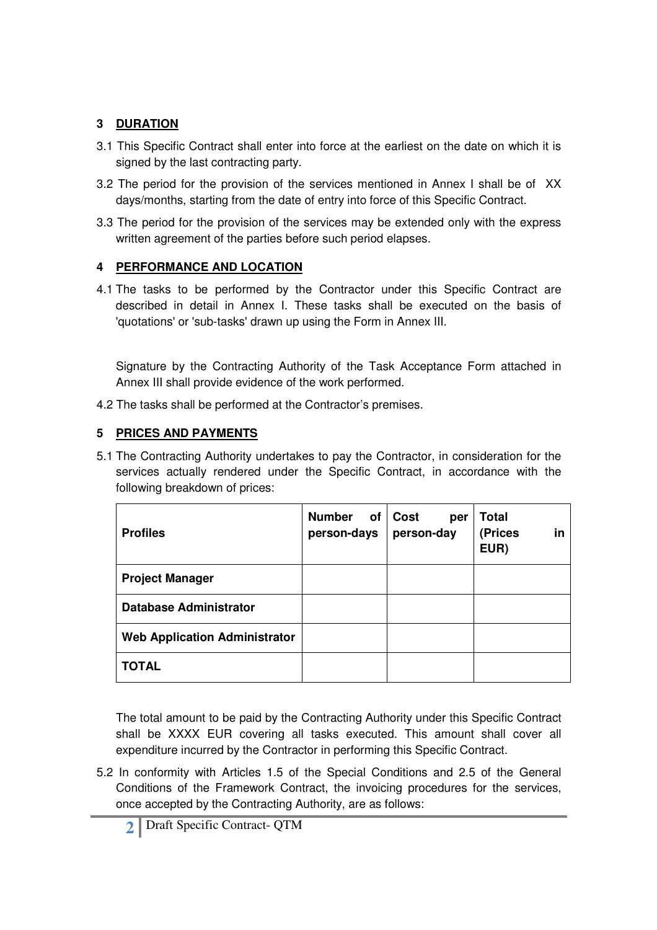### **3 DURATION**

- 3.1 This Specific Contract shall enter into force at the earliest on the date on which it is signed by the last contracting party.
- 3.2 The period for the provision of the services mentioned in Annex I shall be of XX days/months, starting from the date of entry into force of this Specific Contract.
- 3.3 The period for the provision of the services may be extended only with the express written agreement of the parties before such period elapses.

## **4 PERFORMANCE AND LOCATION**

4.1 The tasks to be performed by the Contractor under this Specific Contract are described in detail in Annex I. These tasks shall be executed on the basis of 'quotations' or 'sub-tasks' drawn up using the Form in Annex III.

Signature by the Contracting Authority of the Task Acceptance Form attached in Annex III shall provide evidence of the work performed.

4.2 The tasks shall be performed at the Contractor's premises.

## **5 PRICES AND PAYMENTS**

5.1 The Contracting Authority undertakes to pay the Contractor, in consideration for the services actually rendered under the Specific Contract, in accordance with the following breakdown of prices:

| <b>Profiles</b>                      | <b>Number</b><br>of<br>person-days | <b>Cost</b><br>per<br>person-day | <b>Total</b><br>(Prices<br>in<br>EUR) |
|--------------------------------------|------------------------------------|----------------------------------|---------------------------------------|
| <b>Project Manager</b>               |                                    |                                  |                                       |
| <b>Database Administrator</b>        |                                    |                                  |                                       |
| <b>Web Application Administrator</b> |                                    |                                  |                                       |
| <b>TOTAL</b>                         |                                    |                                  |                                       |

The total amount to be paid by the Contracting Authority under this Specific Contract shall be XXXX EUR covering all tasks executed. This amount shall cover all expenditure incurred by the Contractor in performing this Specific Contract.

5.2 In conformity with Articles 1.5 of the Special Conditions and 2.5 of the General Conditions of the Framework Contract, the invoicing procedures for the services, once accepted by the Contracting Authority, are as follows: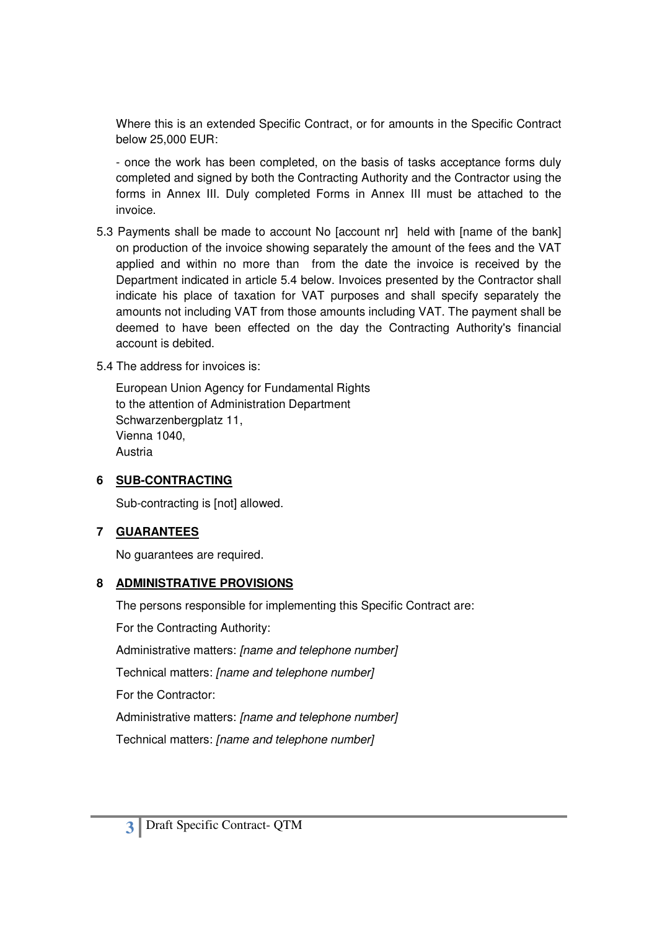Where this is an extended Specific Contract, or for amounts in the Specific Contract below 25,000 EUR:

- once the work has been completed, on the basis of tasks acceptance forms duly completed and signed by both the Contracting Authority and the Contractor using the forms in Annex III. Duly completed Forms in Annex III must be attached to the invoice.

- 5.3 Payments shall be made to account No [account nr] held with [name of the bank] on production of the invoice showing separately the amount of the fees and the VAT applied and within no more than from the date the invoice is received by the Department indicated in article 5.4 below. Invoices presented by the Contractor shall indicate his place of taxation for VAT purposes and shall specify separately the amounts not including VAT from those amounts including VAT. The payment shall be deemed to have been effected on the day the Contracting Authority's financial account is debited.
- 5.4 The address for invoices is:

European Union Agency for Fundamental Rights to the attention of Administration Department Schwarzenbergplatz 11. Vienna 1040, Austria

### **6 SUB-CONTRACTING**

Sub-contracting is [not] allowed.

### **7 GUARANTEES**

No guarantees are required.

### **8 ADMINISTRATIVE PROVISIONS**

The persons responsible for implementing this Specific Contract are:

For the Contracting Authority:

Administrative matters: *[name and telephone number]* 

Technical matters: [name and telephone number]

For the Contractor:

Administrative matters: [name and telephone number]

Technical matters: [name and telephone number]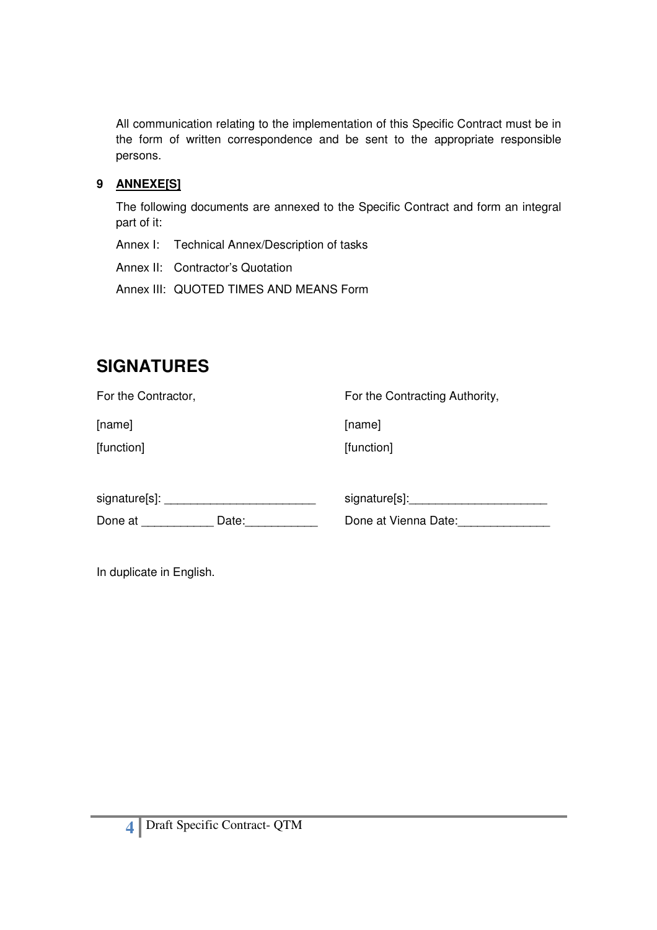All communication relating to the implementation of this Specific Contract must be in the form of written correspondence and be sent to the appropriate responsible persons.

### **9 ANNEXE[S]**

The following documents are annexed to the Specific Contract and form an integral part of it:

Annex I: Technical Annex/Description of tasks

Annex II: Contractor's Quotation

Annex III: QUOTED TIMES AND MEANS Form

# **SIGNATURES**

| For the Contractor, | For the Contracting Authority, |
|---------------------|--------------------------------|
| [name]              | [name]                         |
| [function]          | [function]                     |
|                     |                                |
|                     | signature[s]:____________      |
| Done at<br>Date:    | Done at Vienna Date:           |
|                     |                                |

In duplicate in English.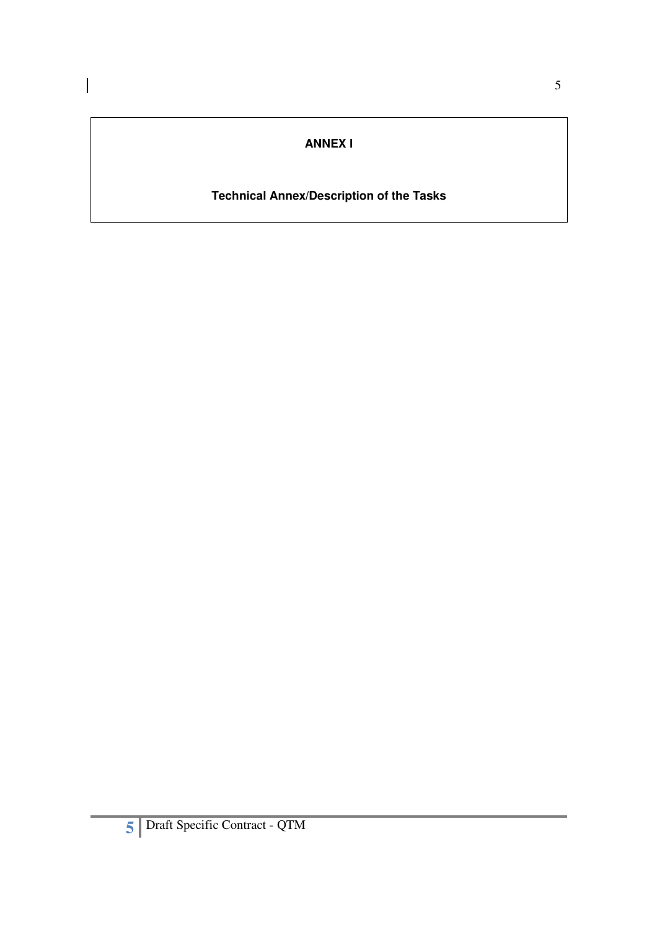# **ANNEX I**

 $\overline{\phantom{a}}$ 

# **Technical Annex/Description of the Tasks**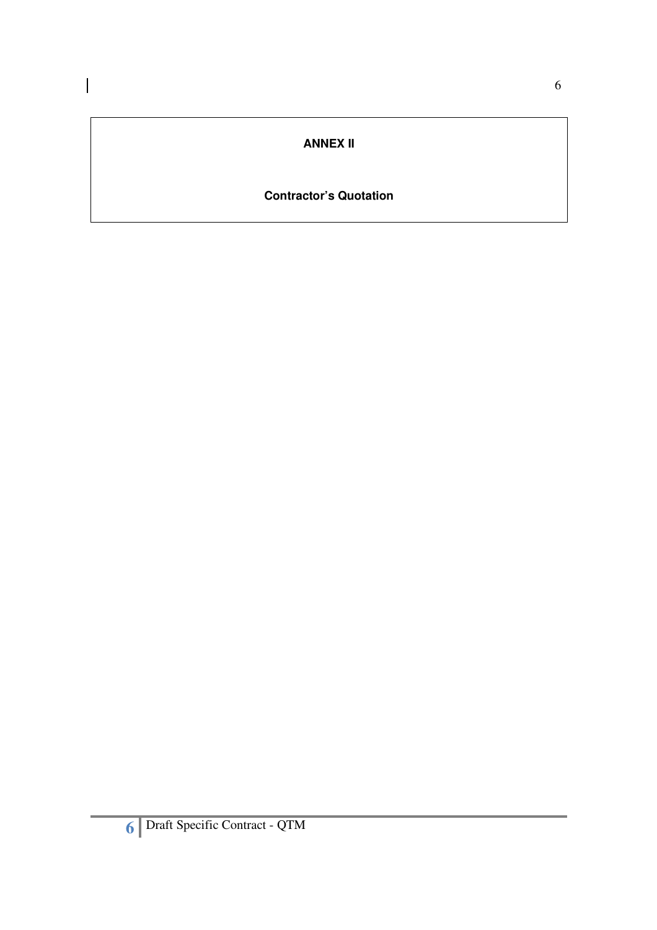# **ANNEX II**

 $\overline{\phantom{a}}$ 

## **Contractor's Quotation**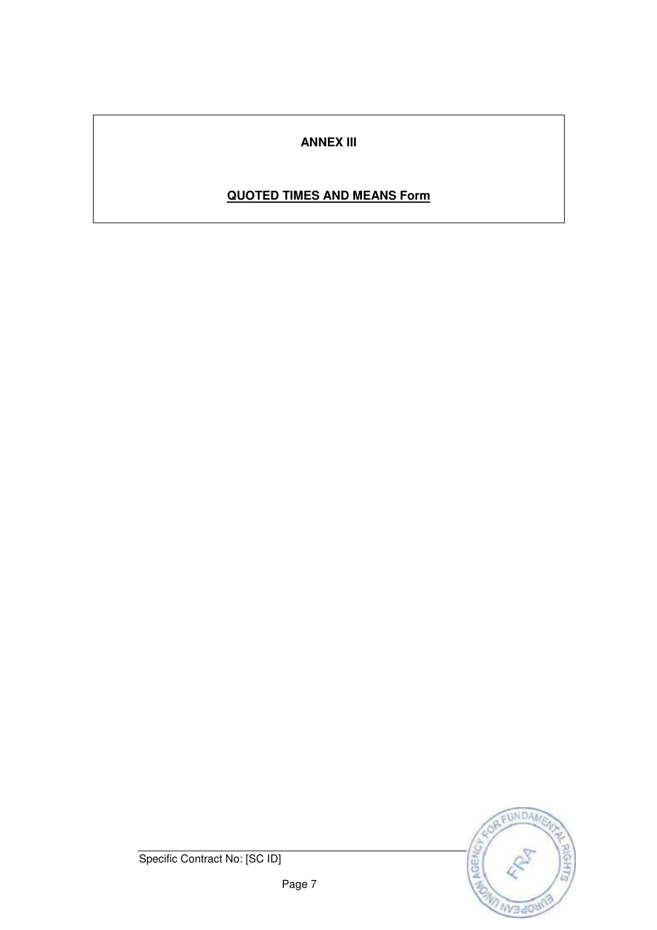## **ANNEX III**

# **QUOTED TIMES AND MEANS Form**